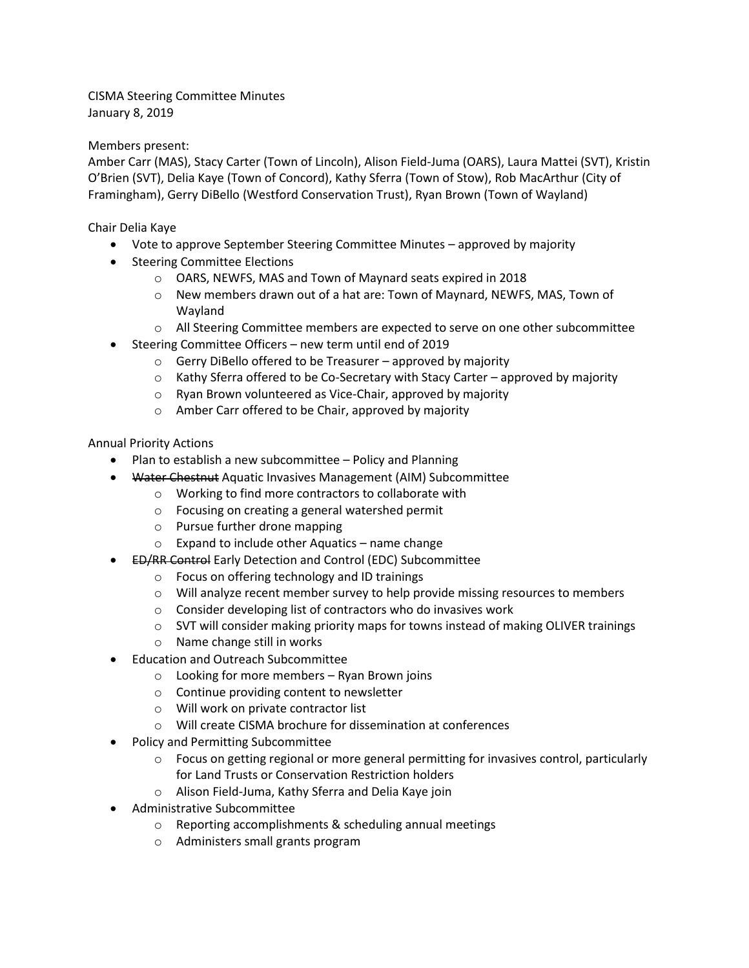CISMA Steering Committee Minutes January 8, 2019

## Members present:

Amber Carr (MAS), Stacy Carter (Town of Lincoln), Alison Field-Juma (OARS), Laura Mattei (SVT), Kristin O'Brien (SVT), Delia Kaye (Town of Concord), Kathy Sferra (Town of Stow), Rob MacArthur (City of Framingham), Gerry DiBello (Westford Conservation Trust), Ryan Brown (Town of Wayland)

Chair Delia Kaye

- Vote to approve September Steering Committee Minutes approved by majority
- Steering Committee Elections
	- o OARS, NEWFS, MAS and Town of Maynard seats expired in 2018
	- o New members drawn out of a hat are: Town of Maynard, NEWFS, MAS, Town of Wayland
	- o All Steering Committee members are expected to serve on one other subcommittee
- Steering Committee Officers new term until end of 2019
	- $\circ$  Gerry DiBello offered to be Treasurer approved by majority
	- $\circ$  Kathy Sferra offered to be Co-Secretary with Stacy Carter approved by majority
	- o Ryan Brown volunteered as Vice-Chair, approved by majority
	- o Amber Carr offered to be Chair, approved by majority

Annual Priority Actions

- Plan to establish a new subcommittee Policy and Planning
- Water Chestnut Aquatic Invasives Management (AIM) Subcommittee
	- o Working to find more contractors to collaborate with
	- o Focusing on creating a general watershed permit
	- o Pursue further drone mapping
	- o Expand to include other Aquatics name change
	- ED/RR Control Early Detection and Control (EDC) Subcommittee
		- o Focus on offering technology and ID trainings
		- $\circ$  Will analyze recent member survey to help provide missing resources to members
		- o Consider developing list of contractors who do invasives work
		- $\circ$  SVT will consider making priority maps for towns instead of making OLIVER trainings
		- o Name change still in works
- Education and Outreach Subcommittee
	- $\circ$  Looking for more members Ryan Brown joins
	- o Continue providing content to newsletter
	- o Will work on private contractor list
	- o Will create CISMA brochure for dissemination at conferences
- Policy and Permitting Subcommittee
	- $\circ$  Focus on getting regional or more general permitting for invasives control, particularly for Land Trusts or Conservation Restriction holders
	- o Alison Field-Juma, Kathy Sferra and Delia Kaye join
- Administrative Subcommittee
	- o Reporting accomplishments & scheduling annual meetings
	- o Administers small grants program